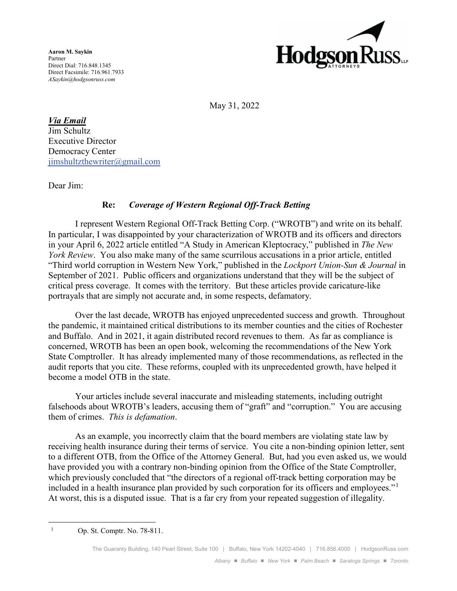**Aaron M. Saykin** Partner Direct Dial: 716.848.1345 Direct Facsimile: 716.961.7933 *ASaykin@hodgsonruss.com*



May 31, 2022

*Via Email*

Jim Schultz Executive Director Democracy Center jimshultzthewriter@gmail.com

Dear Jim:

## **Re:** *Coverage of Western Regional Off-Track Betting*

I represent Western Regional Off-Track Betting Corp. ("WROTB") and write on its behalf. In particular, I was disappointed by your characterization of WROTB and its officers and directors in your April 6, 2022 article entitled "A Study in American Kleptocracy," published in *The New York Review*. You also make many of the same scurrilous accusations in a prior article, entitled "Third world corruption in Western New York," published in the *Lockport Union-Sun & Journal* in September of 2021. Public officers and organizations understand that they will be the subject of critical press coverage. It comes with the territory. But these articles provide caricature-like portrayals that are simply not accurate and, in some respects, defamatory.

Over the last decade, WROTB has enjoyed unprecedented success and growth. Throughout the pandemic, it maintained critical distributions to its member counties and the cities of Rochester and Buffalo. And in 2021, it again distributed record revenues to them. As far as compliance is concerned, WROTB has been an open book, welcoming the recommendations of the New York State Comptroller. It has already implemented many of those recommendations, as reflected in the audit reports that you cite. These reforms, coupled with its unprecedented growth, have helped it become a model OTB in the state.

Your articles include several inaccurate and misleading statements, including outright falsehoods about WROTB's leaders, accusing them of "graft" and "corruption." You are accusing them of crimes. *This is defamation*.

As an example, you incorrectly claim that the board members are violating state law by receiving health insurance during their terms of service. You cite a non-binding opinion letter, sent to a different OTB, from the Office of the Attorney General. But, had you even asked us, we would have provided you with a contrary non-binding opinion from the Office of the State Comptroller, which previously concluded that "the directors of a regional off-track betting corporation may be included in a health insurance plan provided by such corporation for its officers and employees."<sup>1</sup> At worst, this is a disputed issue. That is a far cry from your repeated suggestion of illegality.

 1 Op. St. Comptr. No. 78-811.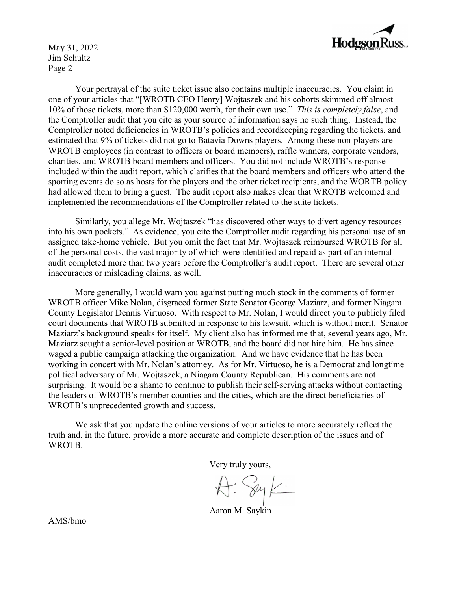

May 31, 2022 Jim Schultz Page 2

Your portrayal of the suite ticket issue also contains multiple inaccuracies. You claim in one of your articles that "[WROTB CEO Henry] Wojtaszek and his cohorts skimmed off almost 10% of those tickets, more than \$120,000 worth, for their own use." *This is completely false*, and the Comptroller audit that you cite as your source of information says no such thing. Instead, the Comptroller noted deficiencies in WROTB's policies and recordkeeping regarding the tickets, and estimated that 9% of tickets did not go to Batavia Downs players. Among these non-players are WROTB employees (in contrast to officers or board members), raffle winners, corporate vendors, charities, and WROTB board members and officers. You did not include WROTB's response included within the audit report, which clarifies that the board members and officers who attend the sporting events do so as hosts for the players and the other ticket recipients, and the WORTB policy had allowed them to bring a guest. The audit report also makes clear that WROTB welcomed and implemented the recommendations of the Comptroller related to the suite tickets.

Similarly, you allege Mr. Wojtaszek "has discovered other ways to divert agency resources into his own pockets." As evidence, you cite the Comptroller audit regarding his personal use of an assigned take-home vehicle. But you omit the fact that Mr. Wojtaszek reimbursed WROTB for all of the personal costs, the vast majority of which were identified and repaid as part of an internal audit completed more than two years before the Comptroller's audit report. There are several other inaccuracies or misleading claims, as well.

More generally, I would warn you against putting much stock in the comments of former WROTB officer Mike Nolan, disgraced former State Senator George Maziarz, and former Niagara County Legislator Dennis Virtuoso. With respect to Mr. Nolan, I would direct you to publicly filed court documents that WROTB submitted in response to his lawsuit, which is without merit. Senator Maziarz's background speaks for itself. My client also has informed me that, several years ago, Mr. Maziarz sought a senior-level position at WROTB, and the board did not hire him. He has since waged a public campaign attacking the organization. And we have evidence that he has been working in concert with Mr. Nolan's attorney. As for Mr. Virtuoso, he is a Democrat and longtime political adversary of Mr. Wojtaszek, a Niagara County Republican. His comments are not surprising. It would be a shame to continue to publish their self-serving attacks without contacting the leaders of WROTB's member counties and the cities, which are the direct beneficiaries of WROTB's unprecedented growth and success.

We ask that you update the online versions of your articles to more accurately reflect the truth and, in the future, provide a more accurate and complete description of the issues and of WROTB.

Very truly yours,

A. Syk.

Aaron M. Saykin

AMS/bmo